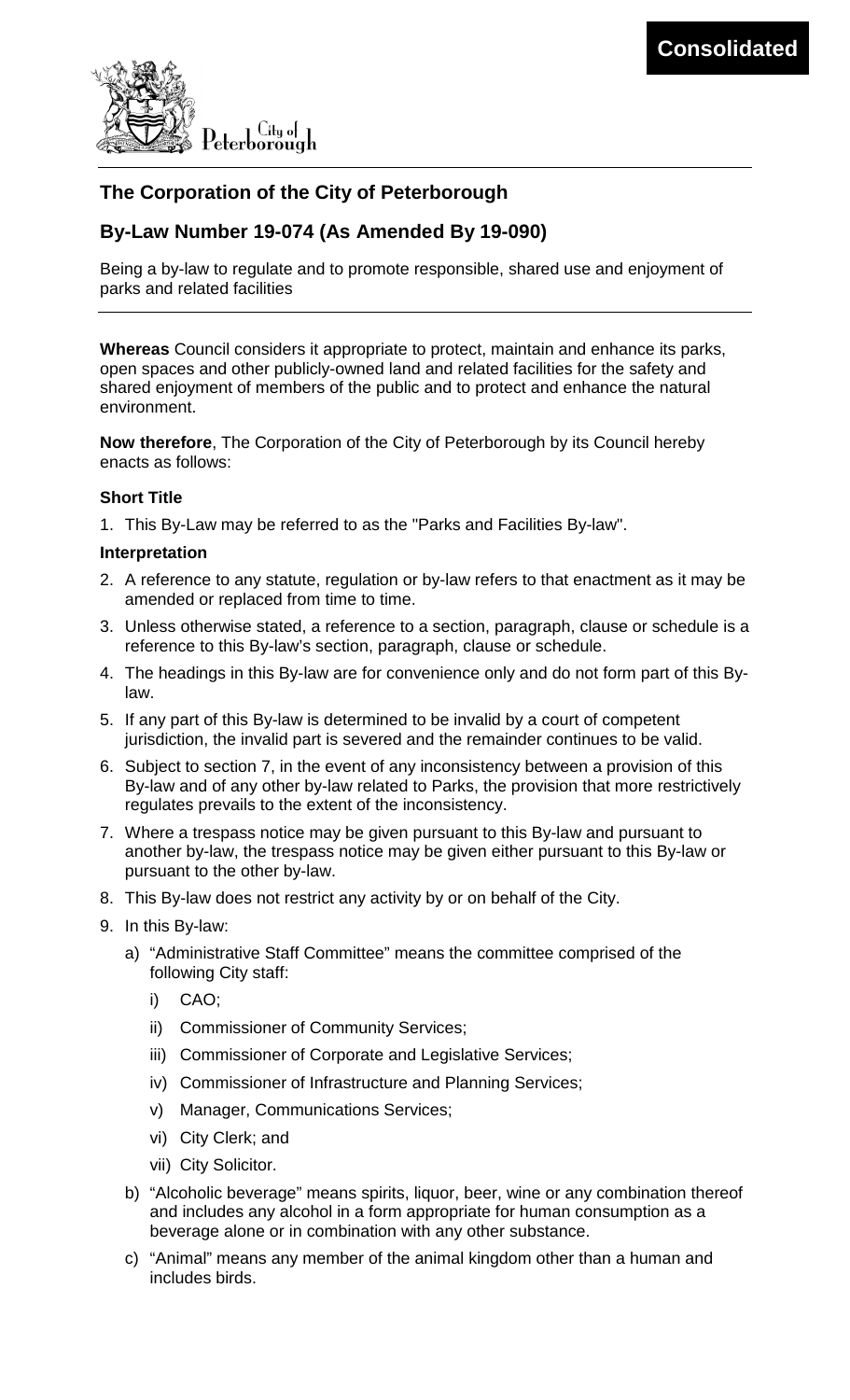

# **The Corporation of the City of Peterborough**

# **By-Law Number 19-074 (As Amended By 19-090)**

Being a by-law to regulate and to promote responsible, shared use and enjoyment of parks and related facilities

**Whereas** Council considers it appropriate to protect, maintain and enhance its parks, open spaces and other publicly-owned land and related facilities for the safety and shared enjoyment of members of the public and to protect and enhance the natural environment.

**Now therefore**, The Corporation of the City of Peterborough by its Council hereby enacts as follows:

#### **Short Title**

1. This By-Law may be referred to as the "Parks and Facilities By-law".

#### **Interpretation**

- 2. A reference to any statute, regulation or by-law refers to that enactment as it may be amended or replaced from time to time.
- 3. Unless otherwise stated, a reference to a section, paragraph, clause or schedule is a reference to this By-law's section, paragraph, clause or schedule.
- 4. The headings in this By-law are for convenience only and do not form part of this Bylaw.
- 5. If any part of this By-law is determined to be invalid by a court of competent jurisdiction, the invalid part is severed and the remainder continues to be valid.
- 6. Subject to section [7,](#page-0-0) in the event of any inconsistency between a provision of this By-law and of any other by-law related to Parks, the provision that more restrictively regulates prevails to the extent of the inconsistency.
- <span id="page-0-0"></span>7. Where a trespass notice may be given pursuant to this By-law and pursuant to another by-law, the trespass notice may be given either pursuant to this By-law or pursuant to the other by-law.
- 8. This By-law does not restrict any activity by or on behalf of the City.
- 9. In this By-law:
	- a) "Administrative Staff Committee" means the committee comprised of the following City staff:
		- i) CAO;
		- ii) Commissioner of Community Services;
		- iii) Commissioner of Corporate and Legislative Services;
		- iv) Commissioner of Infrastructure and Planning Services;
		- v) Manager, Communications Services;
		- vi) City Clerk; and
		- vii) City Solicitor.
	- b) "Alcoholic beverage" means spirits, liquor, beer, wine or any combination thereof and includes any alcohol in a form appropriate for human consumption as a beverage alone or in combination with any other substance.
	- c) "Animal" means any member of the animal kingdom other than a human and includes birds.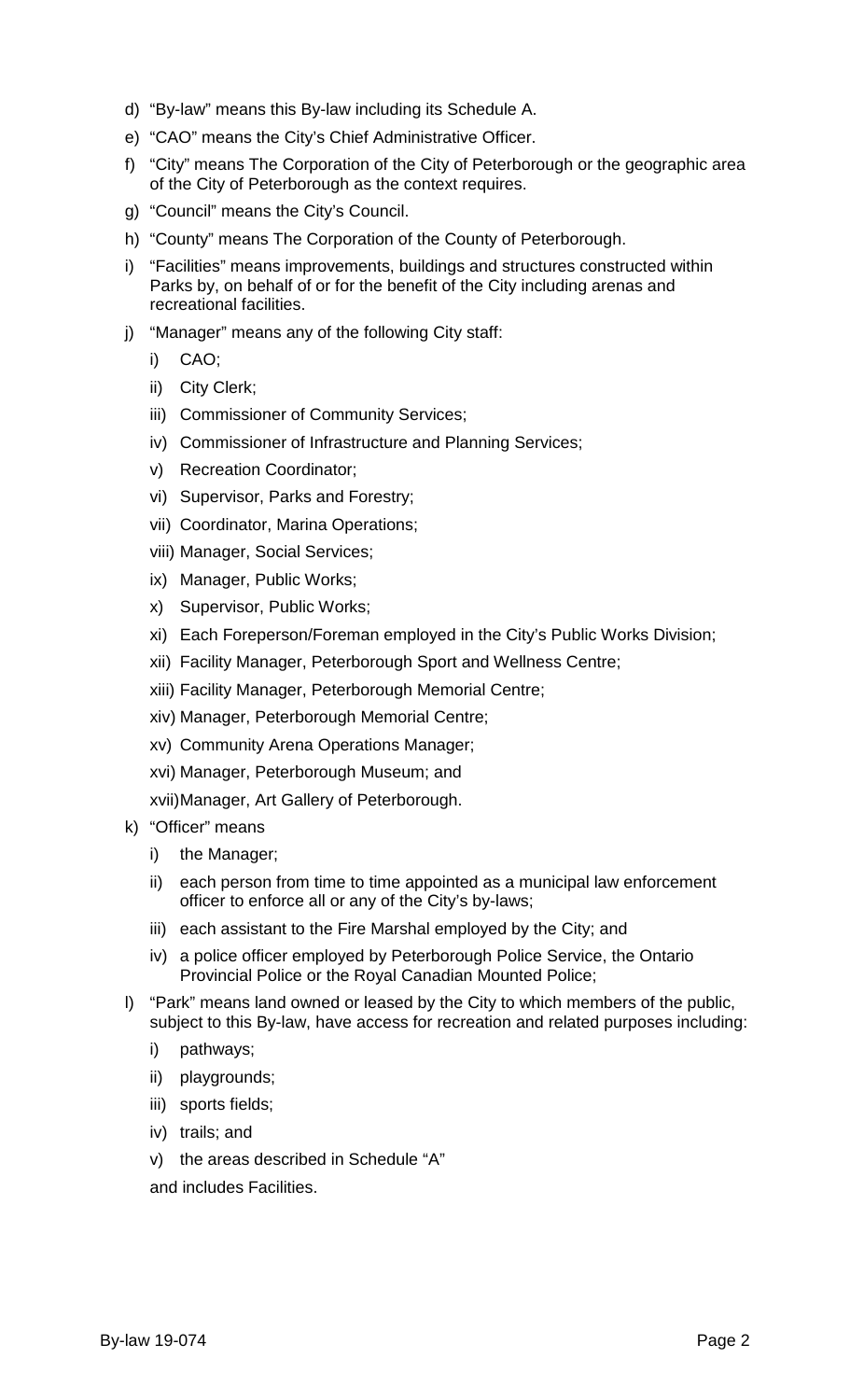- d) "By-law" means this By-law including its Schedule A.
- e) "CAO" means the City's Chief Administrative Officer.
- f) "City" means The Corporation of the City of Peterborough or the geographic area of the City of Peterborough as the context requires.
- g) "Council" means the City's Council.
- h) "County" means The Corporation of the County of Peterborough.
- i) "Facilities" means improvements, buildings and structures constructed within Parks by, on behalf of or for the benefit of the City including arenas and recreational facilities.
- j) "Manager" means any of the following City staff:
	- i) CAO;
	- ii) City Clerk;
	- iii) Commissioner of Community Services;
	- iv) Commissioner of Infrastructure and Planning Services;
	- v) Recreation Coordinator;
	- vi) Supervisor, Parks and Forestry;
	- vii) Coordinator, Marina Operations;
	- viii) Manager, Social Services;
	- ix) Manager, Public Works;
	- x) Supervisor, Public Works;
	- xi) Each Foreperson/Foreman employed in the City's Public Works Division;
	- xii) Facility Manager, Peterborough Sport and Wellness Centre;
	- xiii) Facility Manager, Peterborough Memorial Centre;
	- xiv) Manager, Peterborough Memorial Centre;
	- xv) Community Arena Operations Manager;
	- xvi) Manager, Peterborough Museum; and
	- xvii)Manager, Art Gallery of Peterborough.
- k) "Officer" means
	- i) the Manager;
	- ii) each person from time to time appointed as a municipal law enforcement officer to enforce all or any of the City's by-laws;
	- iii) each assistant to the Fire Marshal employed by the City; and
	- iv) a police officer employed by Peterborough Police Service, the Ontario Provincial Police or the Royal Canadian Mounted Police;
- <span id="page-1-0"></span>l) "Park" means land owned or leased by the City to which members of the public, subject to this By-law, have access for recreation and related purposes including:
	- i) pathways;
	- ii) playgrounds;
	- iii) sports fields;
	- iv) trails; and
	- v) the areas described in Schedule "A"
	- and includes Facilities.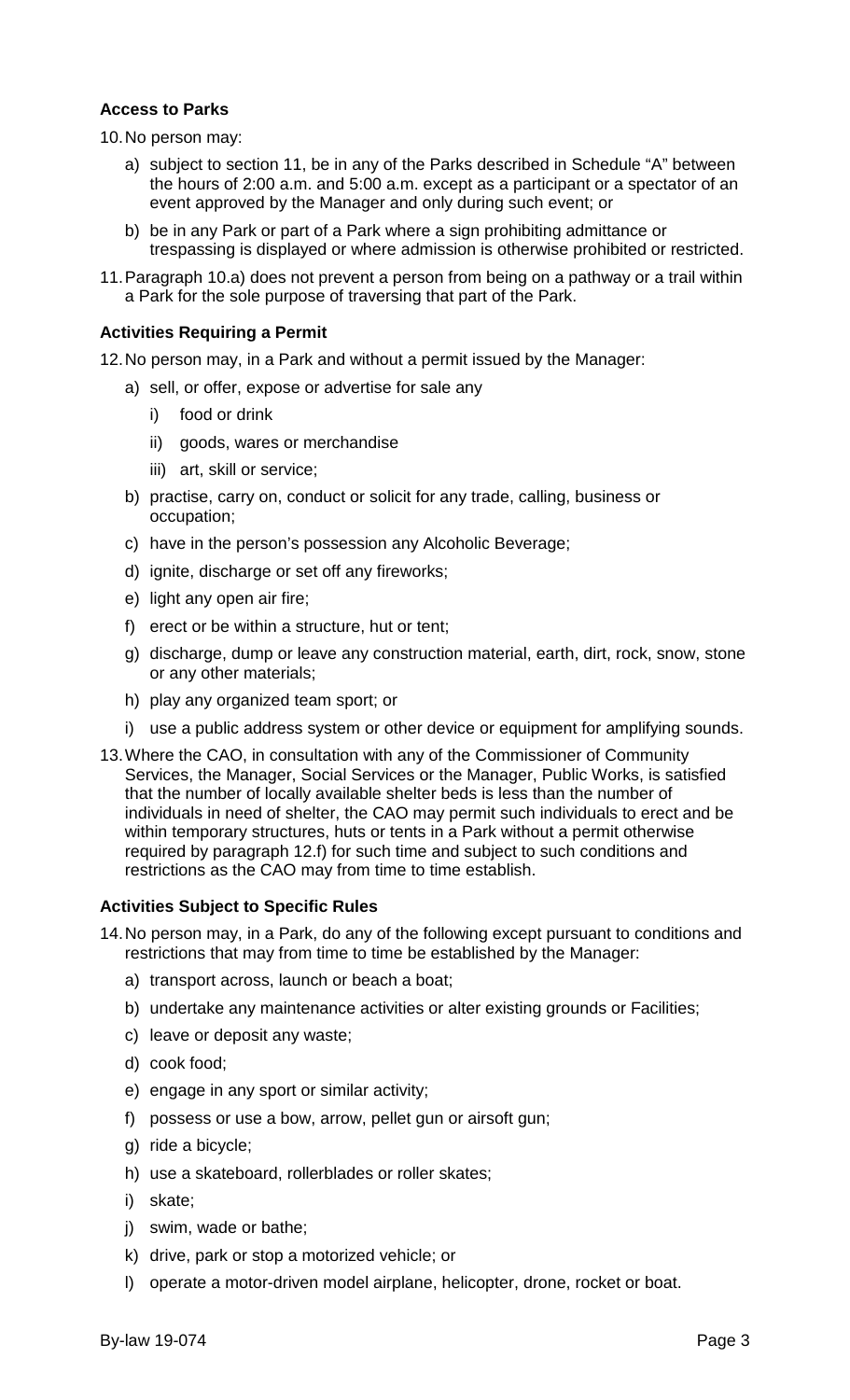#### **Access to Parks**

<span id="page-2-1"></span>10.No person may:

- a) subject to section [11,](#page-2-0) be in any of the Parks described in Schedule "A" between the hours of 2:00 a.m. and 5:00 a.m. except as a participant or a spectator of an event approved by the Manager and only during such event; or
- <span id="page-2-3"></span>b) be in any Park or part of a Park where a sign prohibiting admittance or trespassing is displayed or where admission is otherwise prohibited or restricted.
- <span id="page-2-0"></span>11.Paragraph [10.a\)](#page-2-1) does not prevent a person from being on a pathway or a trail within a Park for the sole purpose of traversing that part of the Park.

### **Activities Requiring a Permit**

<span id="page-2-4"></span>12.No person may, in a Park and without a permit issued by the Manager:

- a) sell, or offer, expose or advertise for sale any
	- i) food or drink
	- ii) goods, wares or merchandise
	- iii) art, skill or service;
- b) practise, carry on, conduct or solicit for any trade, calling, business or occupation;
- c) have in the person's possession any Alcoholic Beverage;
- d) ignite, discharge or set off any fireworks;
- e) light any open air fire;
- <span id="page-2-2"></span>f) erect or be within a structure, hut or tent;
- g) discharge, dump or leave any construction material, earth, dirt, rock, snow, stone or any other materials;
- h) play any organized team sport; or
- i) use a public address system or other device or equipment for amplifying sounds.
- <span id="page-2-5"></span>13.Where the CAO, in consultation with any of the Commissioner of Community Services, the Manager, Social Services or the Manager, Public Works, is satisfied that the number of locally available shelter beds is less than the number of individuals in need of shelter, the CAO may permit such individuals to erect and be within temporary structures, huts or tents in a Park without a permit otherwise required by paragraph [12.f\)](#page-2-2) for such time and subject to such conditions and restrictions as the CAO may from time to time establish.

#### **Activities Subject to Specific Rules**

- <span id="page-2-6"></span>14.No person may, in a Park, do any of the following except pursuant to conditions and restrictions that may from time to time be established by the Manager:
	- a) transport across, launch or beach a boat;
	- b) undertake any maintenance activities or alter existing grounds or Facilities;
	- c) leave or deposit any waste;
	- d) cook food;
	- e) engage in any sport or similar activity;
	- f) possess or use a bow, arrow, pellet gun or airsoft gun;
	- g) ride a bicycle;
	- h) use a skateboard, rollerblades or roller skates;
	- i) skate;
	- j) swim, wade or bathe;
	- k) drive, park or stop a motorized vehicle; or
	- l) operate a motor-driven model airplane, helicopter, drone, rocket or boat.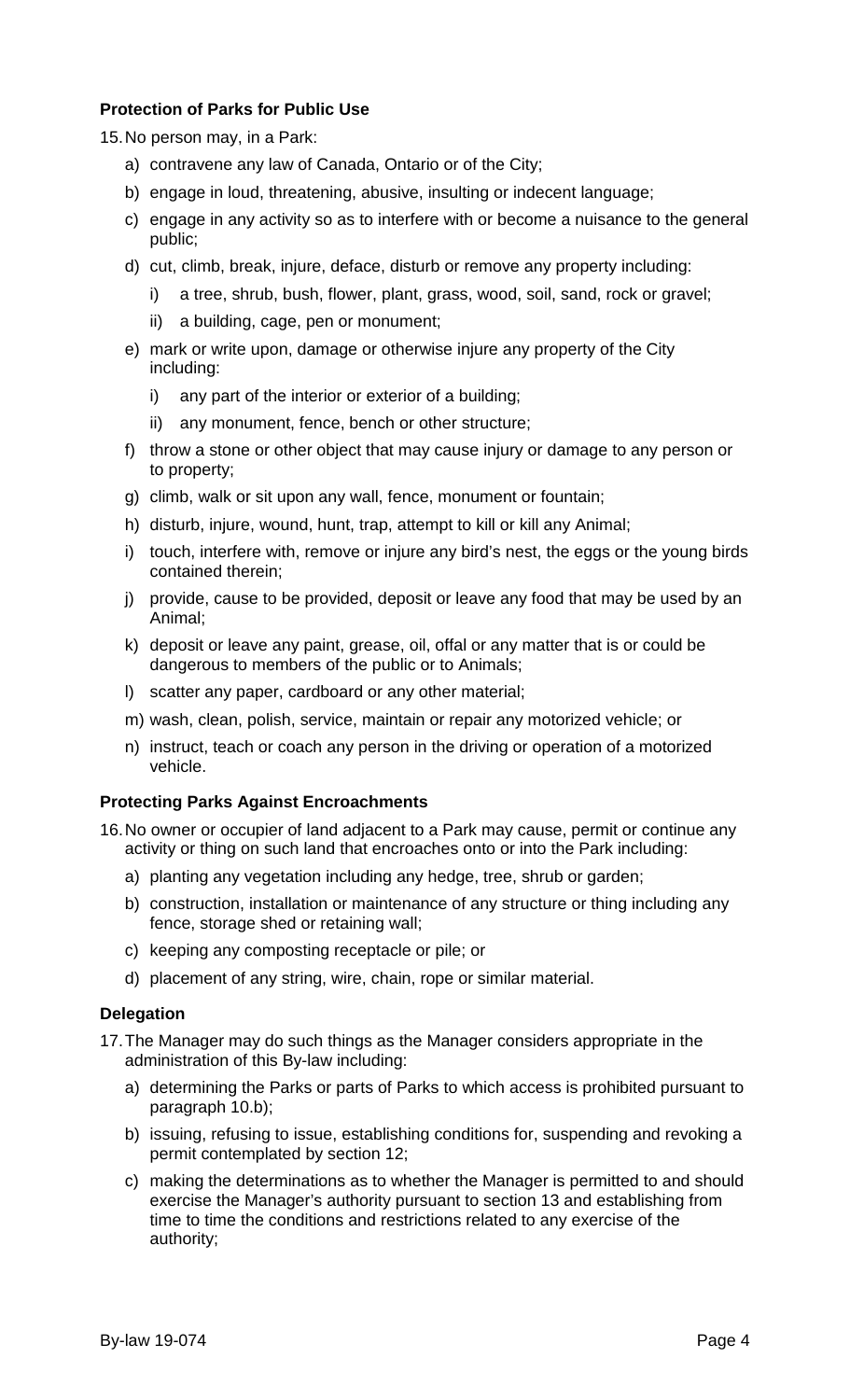# **Protection of Parks for Public Use**

15.No person may, in a Park:

- a) contravene any law of Canada, Ontario or of the City;
- b) engage in loud, threatening, abusive, insulting or indecent language;
- c) engage in any activity so as to interfere with or become a nuisance to the general public;
- d) cut, climb, break, injure, deface, disturb or remove any property including:
	- i) a tree, shrub, bush, flower, plant, grass, wood, soil, sand, rock or gravel;
	- ii) a building, cage, pen or monument;
- e) mark or write upon, damage or otherwise injure any property of the City including:
	- i) any part of the interior or exterior of a building;
	- ii) any monument, fence, bench or other structure;
- f) throw a stone or other object that may cause injury or damage to any person or to property;
- g) climb, walk or sit upon any wall, fence, monument or fountain;
- h) disturb, injure, wound, hunt, trap, attempt to kill or kill any Animal;
- i) touch, interfere with, remove or injure any bird's nest, the eggs or the young birds contained therein;
- j) provide, cause to be provided, deposit or leave any food that may be used by an Animal;
- k) deposit or leave any paint, grease, oil, offal or any matter that is or could be dangerous to members of the public or to Animals;
- l) scatter any paper, cardboard or any other material;
- m) wash, clean, polish, service, maintain or repair any motorized vehicle; or
- n) instruct, teach or coach any person in the driving or operation of a motorized vehicle.

# **Protecting Parks Against Encroachments**

16.No owner or occupier of land adjacent to a Park may cause, permit or continue any activity or thing on such land that encroaches onto or into the Park including:

- a) planting any vegetation including any hedge, tree, shrub or garden;
- b) construction, installation or maintenance of any structure or thing including any fence, storage shed or retaining wall;
- c) keeping any composting receptacle or pile; or
- d) placement of any string, wire, chain, rope or similar material.

# **Delegation**

17.The Manager may do such things as the Manager considers appropriate in the administration of this By-law including:

- a) determining the Parks or parts of Parks to which access is prohibited pursuant to paragraph [10.b\);](#page-2-3)
- b) issuing, refusing to issue, establishing conditions for, suspending and revoking a permit contemplated by section [12;](#page-2-4)
- c) making the determinations as to whether the Manager is permitted to and should exercise the Manager's authority pursuant to section [13](#page-2-5) and establishing from time to time the conditions and restrictions related to any exercise of the authority;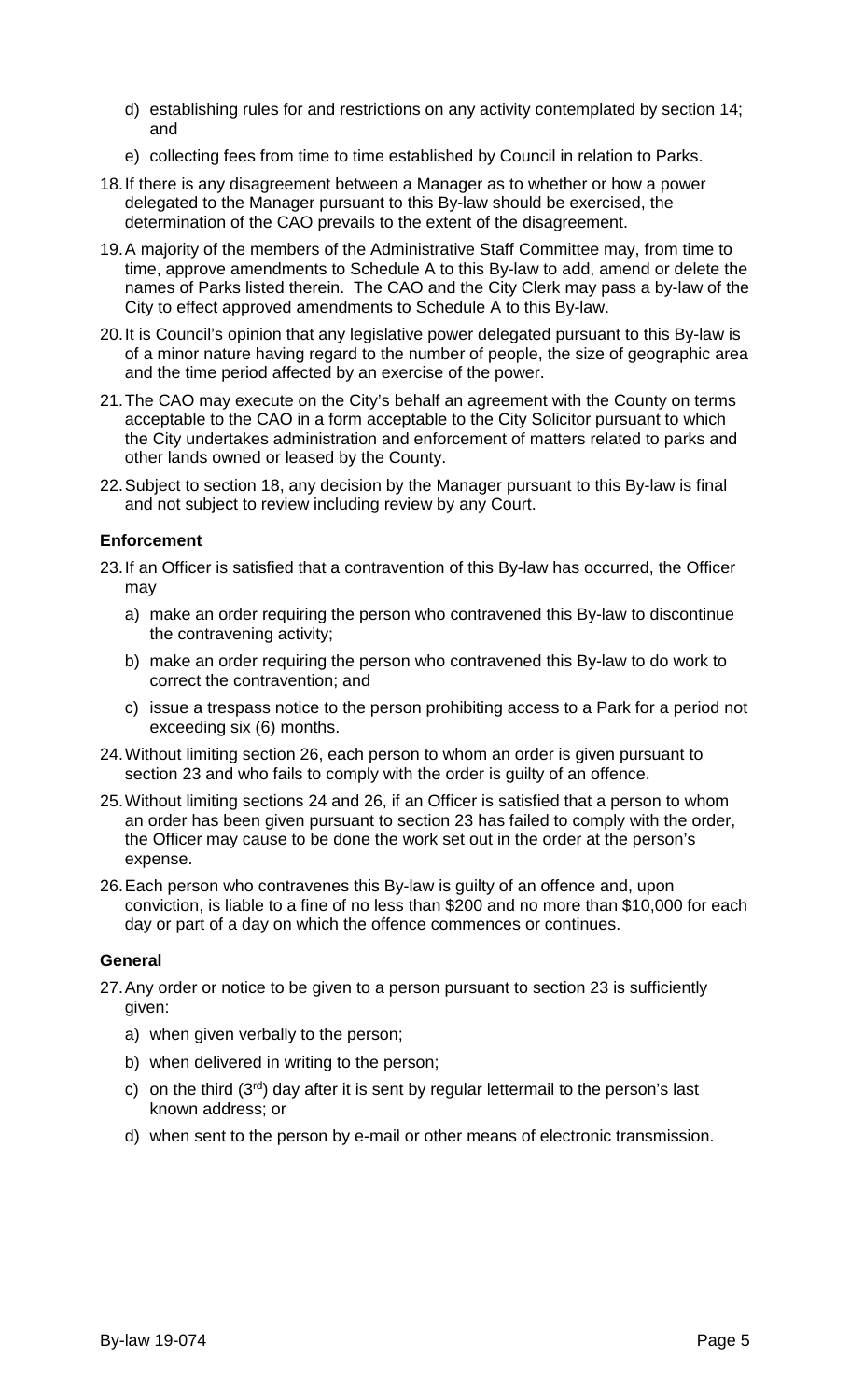- d) establishing rules for and restrictions on any activity contemplated by section [14;](#page-2-6) and
- e) collecting fees from time to time established by Council in relation to Parks.
- <span id="page-4-0"></span>18.If there is any disagreement between a Manager as to whether or how a power delegated to the Manager pursuant to this By-law should be exercised, the determination of the CAO prevails to the extent of the disagreement.
- 19.A majority of the members of the Administrative Staff Committee may, from time to time, approve amendments to Schedule A to this By-law to add, amend or delete the names of Parks listed therein. The CAO and the City Clerk may pass a by-law of the City to effect approved amendments to Schedule A to this By-law.
- 20.It is Council's opinion that any legislative power delegated pursuant to this By-law is of a minor nature having regard to the number of people, the size of geographic area and the time period affected by an exercise of the power.
- 21.The CAO may execute on the City's behalf an agreement with the County on terms acceptable to the CAO in a form acceptable to the City Solicitor pursuant to which the City undertakes administration and enforcement of matters related to parks and other lands owned or leased by the County.
- 22.Subject to section [18,](#page-4-0) any decision by the Manager pursuant to this By-law is final and not subject to review including review by any Court.

# **Enforcement**

- <span id="page-4-2"></span>23.If an Officer is satisfied that a contravention of this By-law has occurred, the Officer may
	- a) make an order requiring the person who contravened this By-law to discontinue the contravening activity;
	- b) make an order requiring the person who contravened this By-law to do work to correct the contravention; and
	- c) issue a trespass notice to the person prohibiting access to a Park for a period not exceeding six (6) months.
- <span id="page-4-3"></span>24.Without limiting section [26,](#page-4-1) each person to whom an order is given pursuant to section [23](#page-4-2) and who fails to comply with the order is guilty of an offence.
- 25.Without limiting sections [24](#page-4-3) and [26,](#page-4-1) if an Officer is satisfied that a person to whom an order has been given pursuant to section [23](#page-4-2) has failed to comply with the order, the Officer may cause to be done the work set out in the order at the person's expense.
- <span id="page-4-1"></span>26.Each person who contravenes this By-law is guilty of an offence and, upon conviction, is liable to a fine of no less than \$200 and no more than \$10,000 for each day or part of a day on which the offence commences or continues.

#### **General**

- 27.Any order or notice to be given to a person pursuant to section [23](#page-4-2) is sufficiently given:
	- a) when given verbally to the person;
	- b) when delivered in writing to the person;
	- c) on the third  $(3<sup>rd</sup>)$  day after it is sent by regular lettermail to the person's last known address; or
	- d) when sent to the person by e-mail or other means of electronic transmission.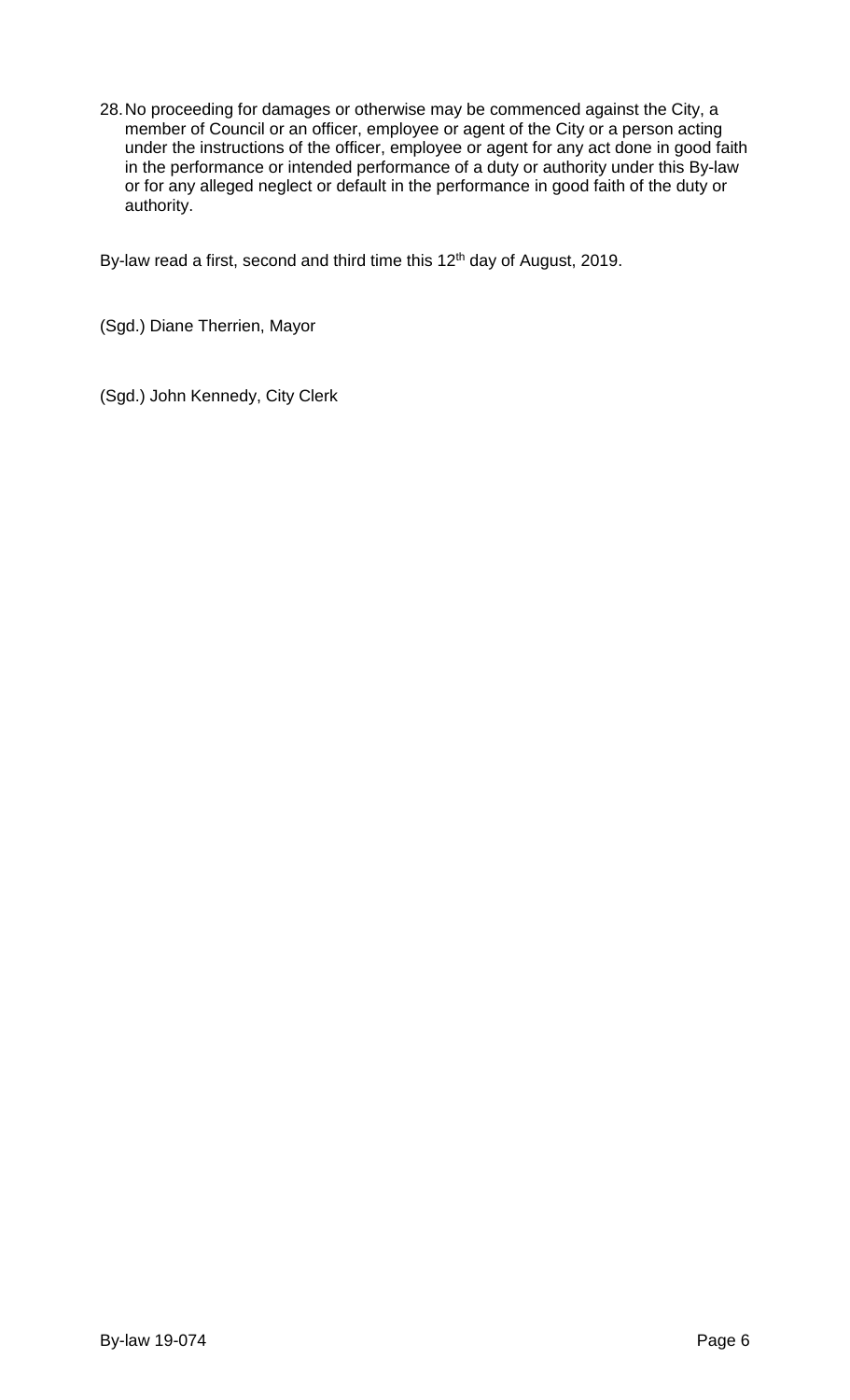28.No proceeding for damages or otherwise may be commenced against the City, a member of Council or an officer, employee or agent of the City or a person acting under the instructions of the officer, employee or agent for any act done in good faith in the performance or intended performance of a duty or authority under this By-law or for any alleged neglect or default in the performance in good faith of the duty or authority.

By-law read a first, second and third time this 12<sup>th</sup> day of August, 2019.

(Sgd.) Diane Therrien, Mayor

(Sgd.) John Kennedy, City Clerk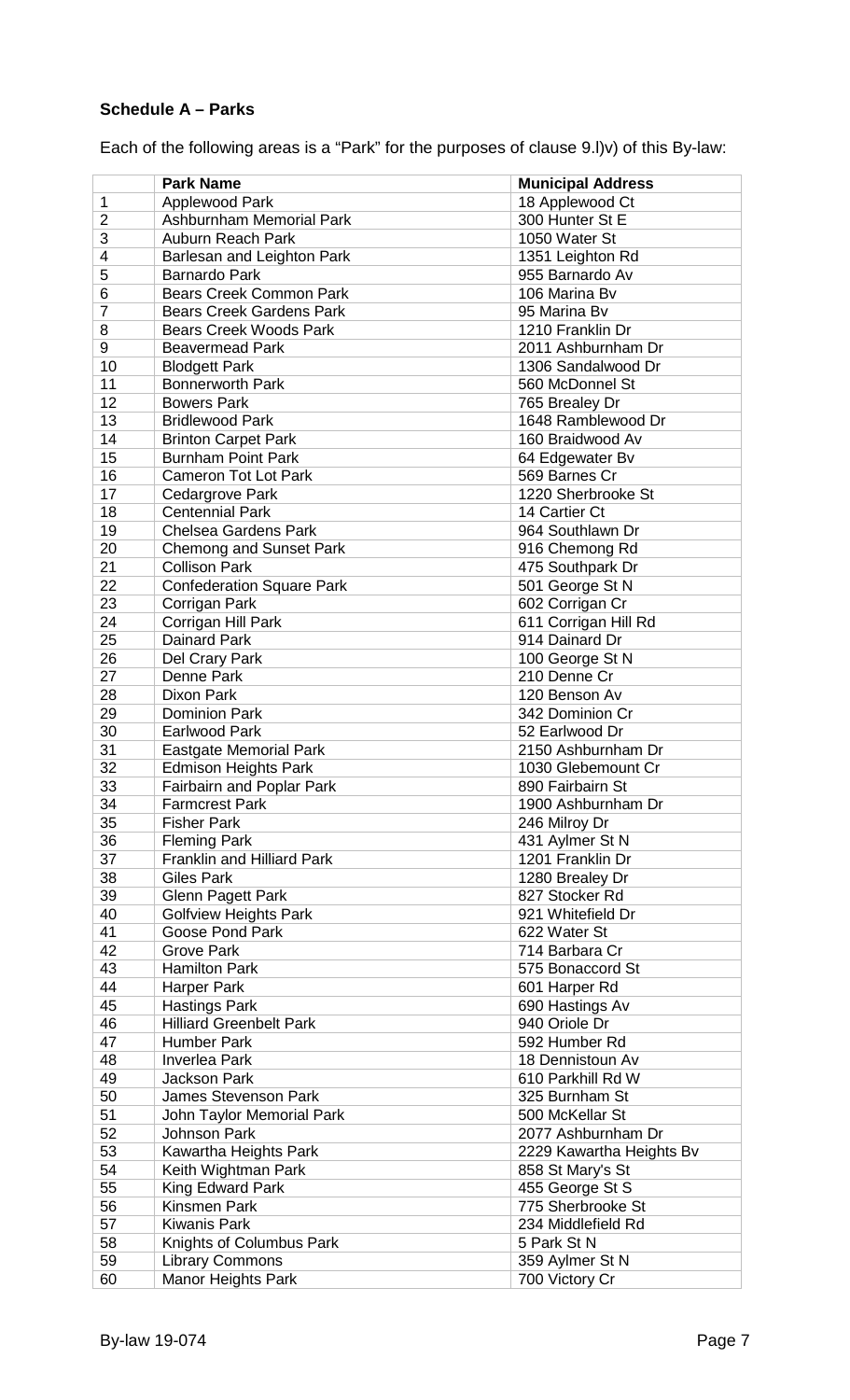# **Schedule A – Parks**

Each of the following areas is a "Park" for the purposes of clause [9.l\)v\)](#page-1-0) of this By-law:

|                       | <b>Park Name</b>                          | <b>Municipal Address</b>         |
|-----------------------|-------------------------------------------|----------------------------------|
| $\mathbf 1$           | Applewood Park                            | 18 Applewood Ct                  |
| $\overline{2}$        | Ashburnham Memorial Park                  | 300 Hunter St E                  |
| 3                     | Auburn Reach Park                         | 1050 Water St                    |
| 4                     | Barlesan and Leighton Park                | 1351 Leighton Rd                 |
| 5                     | <b>Barnardo Park</b>                      | 955 Barnardo Av                  |
| 6                     | <b>Bears Creek Common Park</b>            | 106 Marina Bv                    |
| $\overline{7}$        | <b>Bears Creek Gardens Park</b>           | 95 Marina By                     |
| 8                     | <b>Bears Creek Woods Park</b>             | 1210 Franklin Dr                 |
| 9                     | <b>Beavermead Park</b>                    | 2011 Ashburnham Dr               |
| 10                    | <b>Blodgett Park</b>                      | 1306 Sandalwood Dr               |
| 11                    | <b>Bonnerworth Park</b>                   | 560 McDonnel St                  |
| 12                    | <b>Bowers Park</b>                        | 765 Brealey Dr                   |
| 13                    | <b>Bridlewood Park</b>                    | 1648 Ramblewood Dr               |
| 14                    | <b>Brinton Carpet Park</b>                | 160 Braidwood Av                 |
| 15                    | <b>Burnham Point Park</b>                 |                                  |
| 16                    | <b>Cameron Tot Lot Park</b>               | 64 Edgewater Bv<br>569 Barnes Cr |
| 17                    |                                           | 1220 Sherbrooke St               |
| 18                    | Cedargrove Park<br><b>Centennial Park</b> | 14 Cartier Ct                    |
| 19                    |                                           | 964 Southlawn Dr                 |
|                       | <b>Chelsea Gardens Park</b>               |                                  |
| 20                    | <b>Chemong and Sunset Park</b>            | 916 Chemong Rd                   |
| 21<br>$\overline{22}$ | <b>Collison Park</b>                      | 475 Southpark Dr                 |
|                       | <b>Confederation Square Park</b>          | 501 George St N                  |
| 23                    | Corrigan Park                             | 602 Corrigan Cr                  |
| 24                    | Corrigan Hill Park                        | 611 Corrigan Hill Rd             |
| 25                    | <b>Dainard Park</b>                       | 914 Dainard Dr                   |
| 26                    | Del Crary Park                            | 100 George St N                  |
| 27                    | Denne Park                                | 210 Denne Cr                     |
| 28                    | Dixon Park                                | 120 Benson Av                    |
| 29                    | <b>Dominion Park</b>                      | 342 Dominion Cr                  |
| 30                    | <b>Earlwood Park</b>                      | 52 Earlwood Dr                   |
| 31                    | <b>Eastgate Memorial Park</b>             | 2150 Ashburnham Dr               |
| 32                    | <b>Edmison Heights Park</b>               | 1030 Glebemount Cr               |
| 33                    | <b>Fairbairn and Poplar Park</b>          | 890 Fairbairn St                 |
| 34                    | <b>Farmcrest Park</b>                     | 1900 Ashburnham Dr               |
| 35                    | <b>Fisher Park</b>                        | 246 Milroy Dr                    |
| 36                    | <b>Fleming Park</b>                       | 431 Aylmer St N                  |
| 37                    | <b>Franklin and Hilliard Park</b>         | 1201 Franklin Dr                 |
| 38                    | <b>Giles Park</b>                         | 1280 Brealey Dr                  |
| 39                    | <b>Glenn Pagett Park</b>                  | 827 Stocker Rd                   |
| 40                    | <b>Golfview Heights Park</b>              | 921 Whitefield Dr                |
| 41                    | Goose Pond Park                           | 622 Water St                     |
| 42                    | <b>Grove Park</b>                         | 714 Barbara Cr                   |
| 43                    | <b>Hamilton Park</b>                      | 575 Bonaccord St                 |
| 44                    | <b>Harper Park</b>                        | 601 Harper Rd                    |
| 45                    | <b>Hastings Park</b>                      | 690 Hastings Av                  |
| 46                    | <b>Hilliard Greenbelt Park</b>            | 940 Oriole Dr                    |
| 47                    | <b>Humber Park</b>                        | 592 Humber Rd                    |
| 48                    | <b>Inverlea Park</b>                      | 18 Dennistoun Av                 |
| 49                    | <b>Jackson Park</b>                       | 610 Parkhill Rd W                |
| 50                    | <b>James Stevenson Park</b>               | 325 Burnham St                   |
| 51                    | John Taylor Memorial Park                 | 500 McKellar St                  |
| 52                    | <b>Johnson Park</b>                       | 2077 Ashburnham Dr               |
| 53                    | Kawartha Heights Park                     | 2229 Kawartha Heights Bv         |
| 54                    | Keith Wightman Park                       | 858 St Mary's St                 |
| 55                    | King Edward Park                          | 455 George St S                  |
| 56                    | Kinsmen Park                              | 775 Sherbrooke St                |
| 57                    | <b>Kiwanis Park</b>                       | 234 Middlefield Rd               |
| 58                    | Knights of Columbus Park                  | 5 Park St N                      |
| 59                    | <b>Library Commons</b>                    | 359 Aylmer St N                  |
| 60                    | <b>Manor Heights Park</b>                 | 700 Victory Cr                   |